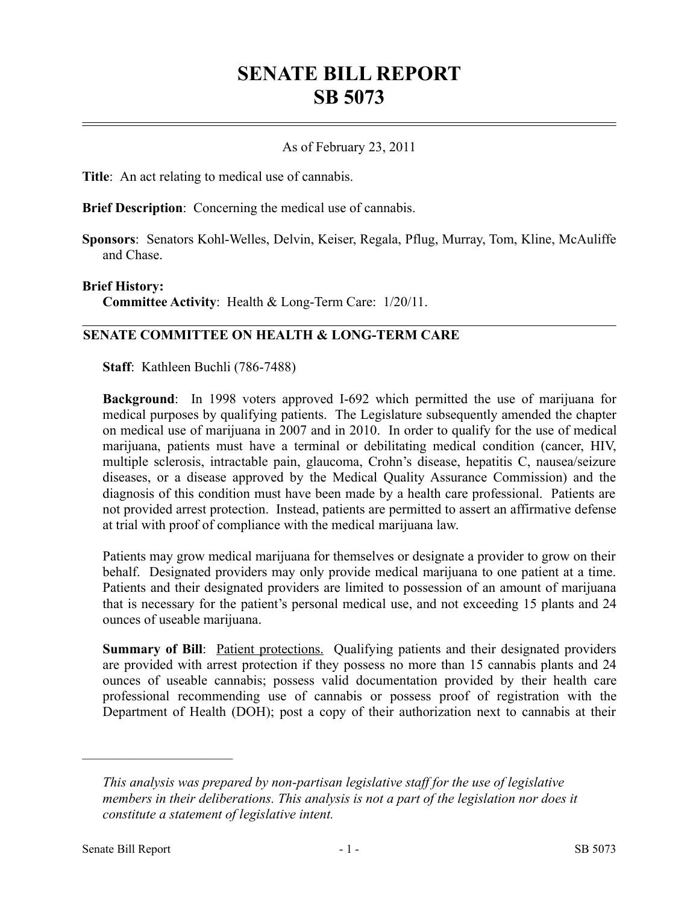# **SENATE BILL REPORT SB 5073**

## As of February 23, 2011

**Title**: An act relating to medical use of cannabis.

**Brief Description**: Concerning the medical use of cannabis.

**Sponsors**: Senators Kohl-Welles, Delvin, Keiser, Regala, Pflug, Murray, Tom, Kline, McAuliffe and Chase.

#### **Brief History:**

**Committee Activity**: Health & Long-Term Care: 1/20/11.

## **SENATE COMMITTEE ON HEALTH & LONG-TERM CARE**

**Staff**: Kathleen Buchli (786-7488)

**Background**: In 1998 voters approved I-692 which permitted the use of marijuana for medical purposes by qualifying patients. The Legislature subsequently amended the chapter on medical use of marijuana in 2007 and in 2010. In order to qualify for the use of medical marijuana, patients must have a terminal or debilitating medical condition (cancer, HIV, multiple sclerosis, intractable pain, glaucoma, Crohn's disease, hepatitis C, nausea/seizure diseases, or a disease approved by the Medical Quality Assurance Commission) and the diagnosis of this condition must have been made by a health care professional. Patients are not provided arrest protection. Instead, patients are permitted to assert an affirmative defense at trial with proof of compliance with the medical marijuana law.

Patients may grow medical marijuana for themselves or designate a provider to grow on their behalf. Designated providers may only provide medical marijuana to one patient at a time. Patients and their designated providers are limited to possession of an amount of marijuana that is necessary for the patient's personal medical use, and not exceeding 15 plants and 24 ounces of useable marijuana.

**Summary of Bill**: Patient protections. Qualifying patients and their designated providers are provided with arrest protection if they possess no more than 15 cannabis plants and 24 ounces of useable cannabis; possess valid documentation provided by their health care professional recommending use of cannabis or possess proof of registration with the Department of Health (DOH); post a copy of their authorization next to cannabis at their

––––––––––––––––––––––

*This analysis was prepared by non-partisan legislative staff for the use of legislative members in their deliberations. This analysis is not a part of the legislation nor does it constitute a statement of legislative intent.*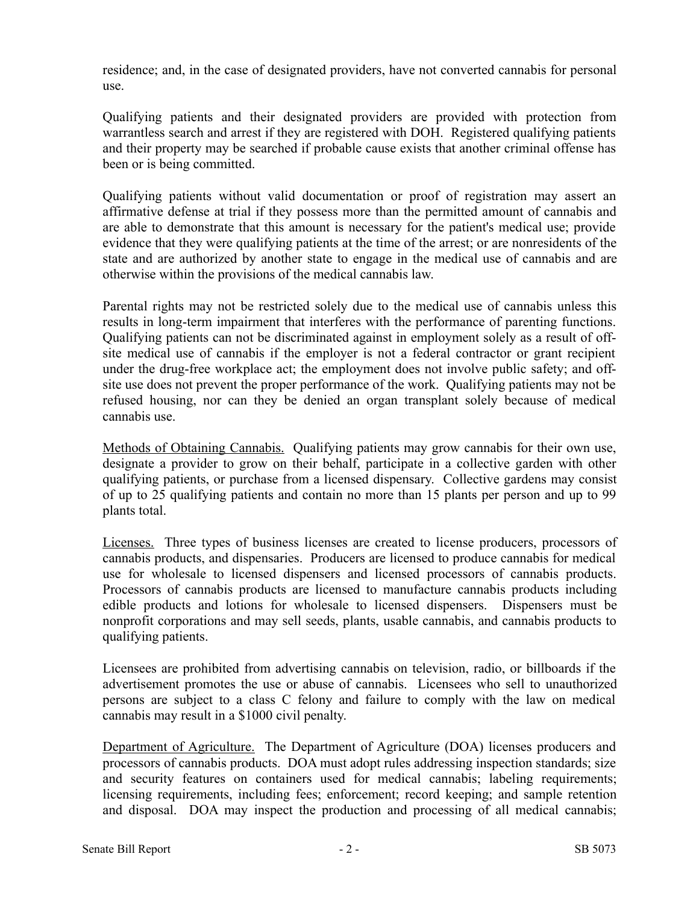residence; and, in the case of designated providers, have not converted cannabis for personal use.

Qualifying patients and their designated providers are provided with protection from warrantless search and arrest if they are registered with DOH. Registered qualifying patients and their property may be searched if probable cause exists that another criminal offense has been or is being committed.

Qualifying patients without valid documentation or proof of registration may assert an affirmative defense at trial if they possess more than the permitted amount of cannabis and are able to demonstrate that this amount is necessary for the patient's medical use; provide evidence that they were qualifying patients at the time of the arrest; or are nonresidents of the state and are authorized by another state to engage in the medical use of cannabis and are otherwise within the provisions of the medical cannabis law.

Parental rights may not be restricted solely due to the medical use of cannabis unless this results in long-term impairment that interferes with the performance of parenting functions. Qualifying patients can not be discriminated against in employment solely as a result of offsite medical use of cannabis if the employer is not a federal contractor or grant recipient under the drug-free workplace act; the employment does not involve public safety; and offsite use does not prevent the proper performance of the work. Qualifying patients may not be refused housing, nor can they be denied an organ transplant solely because of medical cannabis use.

Methods of Obtaining Cannabis. Qualifying patients may grow cannabis for their own use, designate a provider to grow on their behalf, participate in a collective garden with other qualifying patients, or purchase from a licensed dispensary. Collective gardens may consist of up to 25 qualifying patients and contain no more than 15 plants per person and up to 99 plants total.

Licenses. Three types of business licenses are created to license producers, processors of cannabis products, and dispensaries. Producers are licensed to produce cannabis for medical use for wholesale to licensed dispensers and licensed processors of cannabis products. Processors of cannabis products are licensed to manufacture cannabis products including edible products and lotions for wholesale to licensed dispensers. Dispensers must be nonprofit corporations and may sell seeds, plants, usable cannabis, and cannabis products to qualifying patients.

Licensees are prohibited from advertising cannabis on television, radio, or billboards if the advertisement promotes the use or abuse of cannabis. Licensees who sell to unauthorized persons are subject to a class C felony and failure to comply with the law on medical cannabis may result in a \$1000 civil penalty.

Department of Agriculture. The Department of Agriculture (DOA) licenses producers and processors of cannabis products. DOA must adopt rules addressing inspection standards; size and security features on containers used for medical cannabis; labeling requirements; licensing requirements, including fees; enforcement; record keeping; and sample retention and disposal. DOA may inspect the production and processing of all medical cannabis;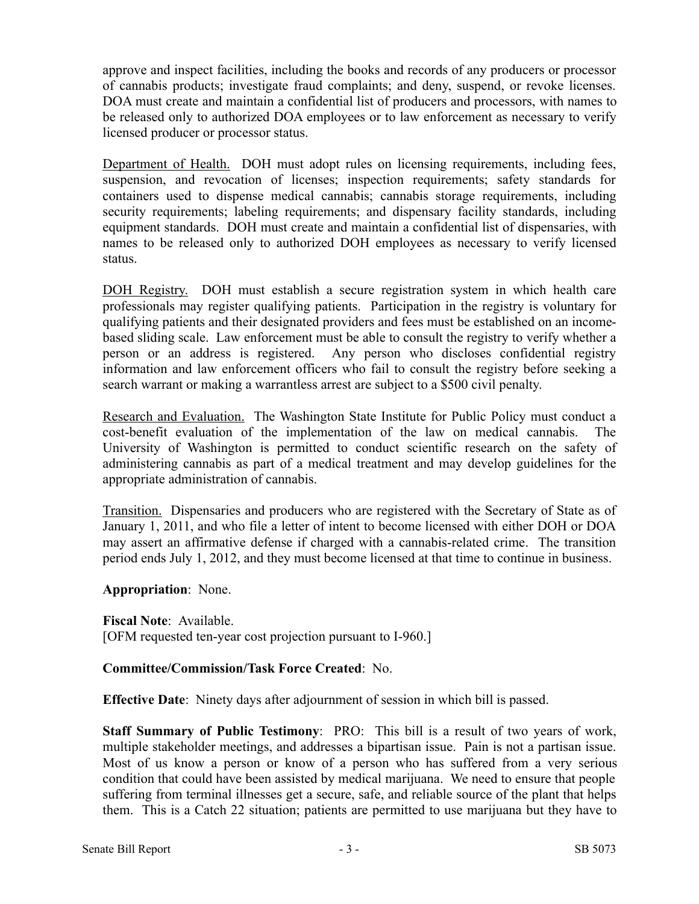approve and inspect facilities, including the books and records of any producers or processor of cannabis products; investigate fraud complaints; and deny, suspend, or revoke licenses. DOA must create and maintain a confidential list of producers and processors, with names to be released only to authorized DOA employees or to law enforcement as necessary to verify licensed producer or processor status.

Department of Health. DOH must adopt rules on licensing requirements, including fees, suspension, and revocation of licenses; inspection requirements; safety standards for containers used to dispense medical cannabis; cannabis storage requirements, including security requirements; labeling requirements; and dispensary facility standards, including equipment standards. DOH must create and maintain a confidential list of dispensaries, with names to be released only to authorized DOH employees as necessary to verify licensed status.

DOH Registry. DOH must establish a secure registration system in which health care professionals may register qualifying patients. Participation in the registry is voluntary for qualifying patients and their designated providers and fees must be established on an incomebased sliding scale. Law enforcement must be able to consult the registry to verify whether a person or an address is registered. Any person who discloses confidential registry information and law enforcement officers who fail to consult the registry before seeking a search warrant or making a warrantless arrest are subject to a \$500 civil penalty.

Research and Evaluation. The Washington State Institute for Public Policy must conduct a cost-benefit evaluation of the implementation of the law on medical cannabis. The University of Washington is permitted to conduct scientific research on the safety of administering cannabis as part of a medical treatment and may develop guidelines for the appropriate administration of cannabis.

Transition. Dispensaries and producers who are registered with the Secretary of State as of January 1, 2011, and who file a letter of intent to become licensed with either DOH or DOA may assert an affirmative defense if charged with a cannabis-related crime. The transition period ends July 1, 2012, and they must become licensed at that time to continue in business.

**Appropriation**: None.

**Fiscal Note**: Available. [OFM requested ten-year cost projection pursuant to I-960.]

## **Committee/Commission/Task Force Created**: No.

**Effective Date**: Ninety days after adjournment of session in which bill is passed.

**Staff Summary of Public Testimony:** PRO: This bill is a result of two years of work, multiple stakeholder meetings, and addresses a bipartisan issue. Pain is not a partisan issue. Most of us know a person or know of a person who has suffered from a very serious condition that could have been assisted by medical marijuana. We need to ensure that people suffering from terminal illnesses get a secure, safe, and reliable source of the plant that helps them. This is a Catch 22 situation; patients are permitted to use marijuana but they have to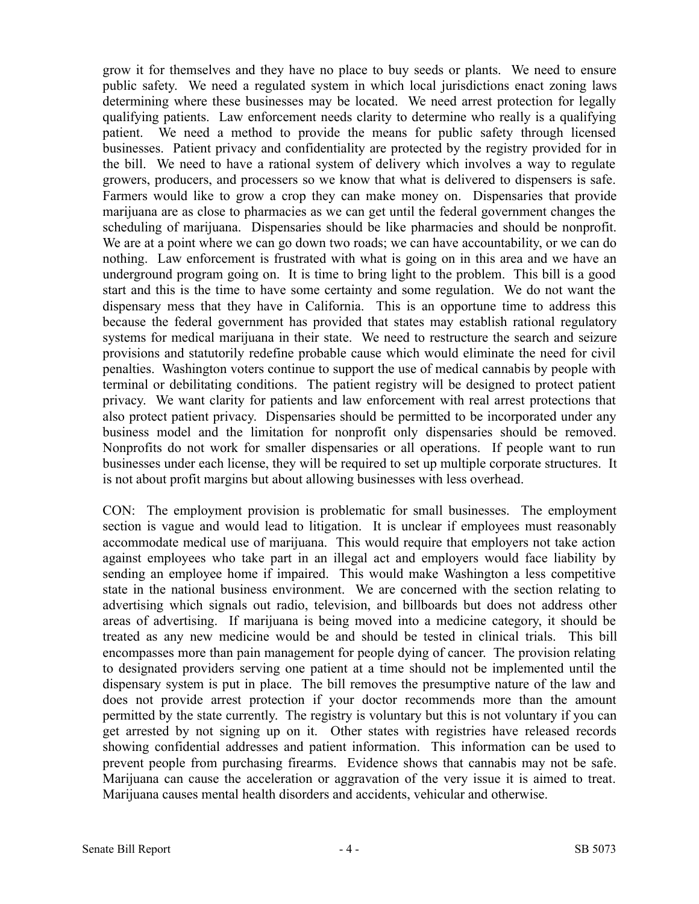grow it for themselves and they have no place to buy seeds or plants. We need to ensure public safety. We need a regulated system in which local jurisdictions enact zoning laws determining where these businesses may be located. We need arrest protection for legally qualifying patients. Law enforcement needs clarity to determine who really is a qualifying patient. We need a method to provide the means for public safety through licensed businesses. Patient privacy and confidentiality are protected by the registry provided for in the bill. We need to have a rational system of delivery which involves a way to regulate growers, producers, and processers so we know that what is delivered to dispensers is safe. Farmers would like to grow a crop they can make money on. Dispensaries that provide marijuana are as close to pharmacies as we can get until the federal government changes the scheduling of marijuana. Dispensaries should be like pharmacies and should be nonprofit. We are at a point where we can go down two roads; we can have accountability, or we can do nothing. Law enforcement is frustrated with what is going on in this area and we have an underground program going on. It is time to bring light to the problem. This bill is a good start and this is the time to have some certainty and some regulation. We do not want the dispensary mess that they have in California. This is an opportune time to address this because the federal government has provided that states may establish rational regulatory systems for medical marijuana in their state. We need to restructure the search and seizure provisions and statutorily redefine probable cause which would eliminate the need for civil penalties. Washington voters continue to support the use of medical cannabis by people with terminal or debilitating conditions. The patient registry will be designed to protect patient privacy. We want clarity for patients and law enforcement with real arrest protections that also protect patient privacy. Dispensaries should be permitted to be incorporated under any business model and the limitation for nonprofit only dispensaries should be removed. Nonprofits do not work for smaller dispensaries or all operations. If people want to run businesses under each license, they will be required to set up multiple corporate structures. It is not about profit margins but about allowing businesses with less overhead.

CON: The employment provision is problematic for small businesses. The employment section is vague and would lead to litigation. It is unclear if employees must reasonably accommodate medical use of marijuana. This would require that employers not take action against employees who take part in an illegal act and employers would face liability by sending an employee home if impaired. This would make Washington a less competitive state in the national business environment. We are concerned with the section relating to advertising which signals out radio, television, and billboards but does not address other areas of advertising. If marijuana is being moved into a medicine category, it should be treated as any new medicine would be and should be tested in clinical trials. This bill encompasses more than pain management for people dying of cancer. The provision relating to designated providers serving one patient at a time should not be implemented until the dispensary system is put in place. The bill removes the presumptive nature of the law and does not provide arrest protection if your doctor recommends more than the amount permitted by the state currently. The registry is voluntary but this is not voluntary if you can get arrested by not signing up on it. Other states with registries have released records showing confidential addresses and patient information. This information can be used to prevent people from purchasing firearms. Evidence shows that cannabis may not be safe. Marijuana can cause the acceleration or aggravation of the very issue it is aimed to treat. Marijuana causes mental health disorders and accidents, vehicular and otherwise.